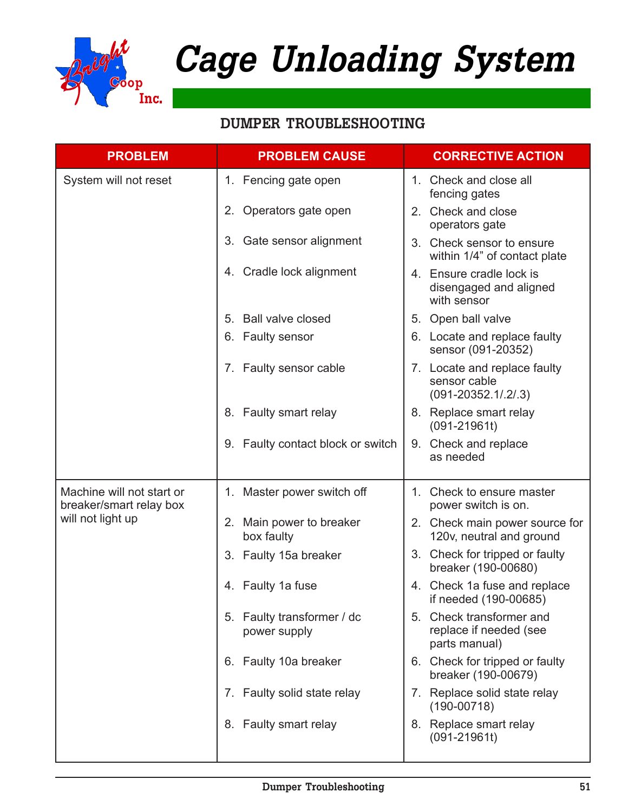

### **DUMPER TROUBLESHOOTING**

| <b>PROBLEM</b>                                       | <b>PROBLEM CAUSE</b>                       | <b>CORRECTIVE ACTION</b>                                                    |
|------------------------------------------------------|--------------------------------------------|-----------------------------------------------------------------------------|
| System will not reset                                | 1. Fencing gate open                       | 1. Check and close all<br>fencing gates                                     |
|                                                      | 2. Operators gate open                     | 2. Check and close<br>operators gate                                        |
|                                                      | 3. Gate sensor alignment                   | 3. Check sensor to ensure<br>within 1/4" of contact plate                   |
|                                                      | 4. Cradle lock alignment                   | 4. Ensure cradle lock is<br>disengaged and aligned<br>with sensor           |
|                                                      | 5. Ball valve closed                       | 5. Open ball valve                                                          |
|                                                      | 6. Faulty sensor                           | 6. Locate and replace faulty<br>sensor (091-20352)                          |
|                                                      | 7. Faulty sensor cable                     | 7. Locate and replace faulty<br>sensor cable<br>$(091 - 20352.1 / .2 / .3)$ |
|                                                      | 8. Faulty smart relay                      | 8. Replace smart relay<br>$(091 - 21961t)$                                  |
|                                                      | 9. Faulty contact block or switch          | 9. Check and replace<br>as needed                                           |
| Machine will not start or<br>breaker/smart relay box | 1. Master power switch off                 | 1. Check to ensure master<br>power switch is on.                            |
| will not light up                                    | Main power to breaker<br>2.<br>box faulty  | 2. Check main power source for<br>120v, neutral and ground                  |
|                                                      | 3. Faulty 15a breaker                      | 3. Check for tripped or faulty<br>breaker (190-00680)                       |
|                                                      | 4. Faulty 1a fuse                          | 4. Check 1a fuse and replace<br>if needed (190-00685)                       |
|                                                      | 5. Faulty transformer / dc<br>power supply | 5. Check transformer and<br>replace if needed (see<br>parts manual)         |
|                                                      | 6. Faulty 10a breaker                      | 6. Check for tripped or faulty<br>breaker (190-00679)                       |
|                                                      | 7. Faulty solid state relay                | 7. Replace solid state relay<br>$(190 - 00718)$                             |
|                                                      | 8. Faulty smart relay                      | 8. Replace smart relay<br>$(091 - 21961t)$                                  |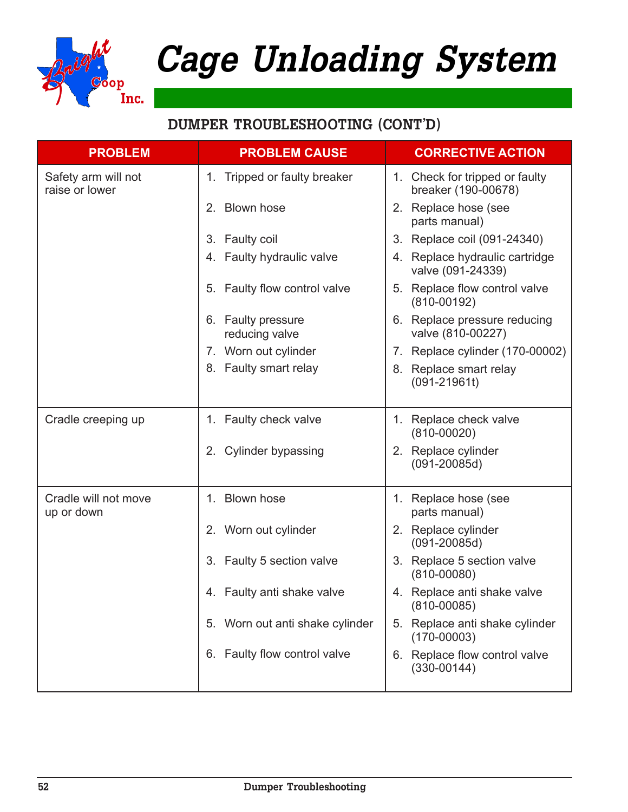

| <b>PROBLEM</b>                        | <b>PROBLEM CAUSE</b>                           | <b>CORRECTIVE ACTION</b>                              |
|---------------------------------------|------------------------------------------------|-------------------------------------------------------|
| Safety arm will not<br>raise or lower | Tripped or faulty breaker<br>1.                | 1. Check for tripped or faulty<br>breaker (190-00678) |
|                                       | 2. Blown hose                                  | 2. Replace hose (see<br>parts manual)                 |
|                                       | Faulty coil<br>3.                              | 3. Replace coil (091-24340)                           |
|                                       | 4. Faulty hydraulic valve                      | 4. Replace hydraulic cartridge<br>valve (091-24339)   |
|                                       | Faulty flow control valve<br>5.                | 5. Replace flow control valve<br>$(810 - 00192)$      |
|                                       | <b>Faulty pressure</b><br>6.<br>reducing valve | 6. Replace pressure reducing<br>valve (810-00227)     |
|                                       | 7. Worn out cylinder                           | 7. Replace cylinder (170-00002)                       |
|                                       | 8. Faulty smart relay                          | 8. Replace smart relay<br>$(091 - 21961t)$            |
| Cradle creeping up                    | 1. Faulty check valve                          | 1. Replace check valve<br>$(810 - 00020)$             |
|                                       | <b>Cylinder bypassing</b><br>2.                | 2. Replace cylinder<br>$(091 - 20085d)$               |
| Cradle will not move<br>up or down    | 1. Blown hose                                  | 1. Replace hose (see<br>parts manual)                 |
|                                       | 2. Worn out cylinder                           | 2. Replace cylinder<br>$(091 - 20085d)$               |
|                                       | 3. Faulty 5 section valve                      | 3. Replace 5 section valve<br>$(810 - 00080)$         |
|                                       | 4. Faulty anti shake valve                     | 4. Replace anti shake valve<br>$(810 - 00085)$        |
|                                       | Worn out anti shake cylinder<br>5.             | Replace anti shake cylinder<br>5.<br>$(170 - 00003)$  |
|                                       | 6. Faulty flow control valve                   | 6. Replace flow control valve<br>$(330 - 00144)$      |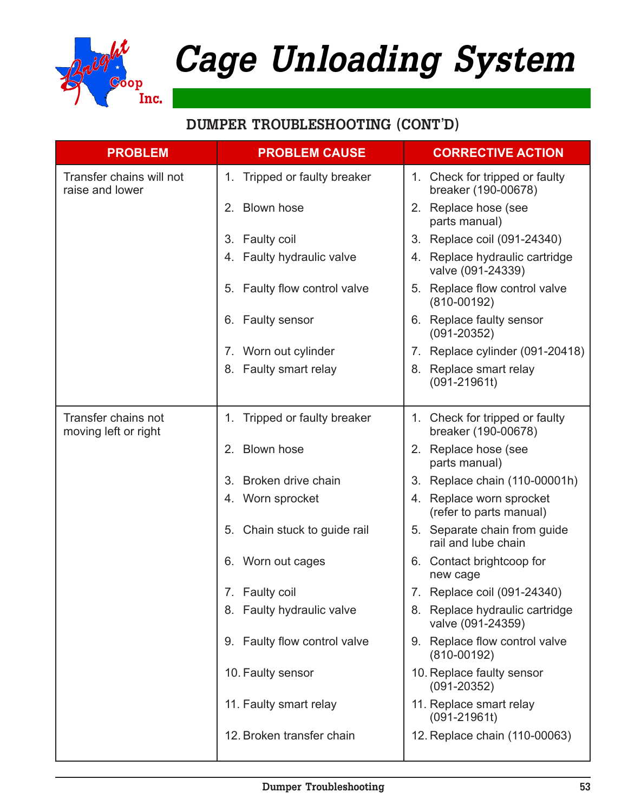

| <b>PROBLEM</b>                              | <b>PROBLEM CAUSE</b>            | <b>CORRECTIVE ACTION</b>                                 |
|---------------------------------------------|---------------------------------|----------------------------------------------------------|
| Transfer chains will not<br>raise and lower | Tripped or faulty breaker<br>1. | 1. Check for tripped or faulty<br>breaker (190-00678)    |
|                                             | 2. Blown hose                   | 2. Replace hose (see<br>parts manual)                    |
|                                             | 3. Faulty coil                  | 3. Replace coil (091-24340)                              |
|                                             | 4. Faulty hydraulic valve       | 4. Replace hydraulic cartridge<br>valve (091-24339)      |
|                                             | Faulty flow control valve<br>5. | 5. Replace flow control valve<br>$(810 - 00192)$         |
|                                             | 6. Faulty sensor                | 6. Replace faulty sensor<br>$(091 - 20352)$              |
|                                             | 7. Worn out cylinder            | 7. Replace cylinder (091-20418)                          |
|                                             | 8. Faulty smart relay           | 8. Replace smart relay<br>$(091 - 21961t)$               |
| Transfer chains not<br>moving left or right | Tripped or faulty breaker<br>1. | Check for tripped or faulty<br>1.<br>breaker (190-00678) |
|                                             | 2. Blown hose                   | 2. Replace hose (see<br>parts manual)                    |
|                                             | Broken drive chain<br>3.        | 3. Replace chain (110-00001h)                            |
|                                             | 4. Worn sprocket                | 4. Replace worn sprocket<br>(refer to parts manual)      |
|                                             | Chain stuck to guide rail<br>5. | 5. Separate chain from guide<br>rail and lube chain      |
|                                             | 6. Worn out cages               | Contact brightcoop for<br>6.<br>new cage                 |
|                                             | 7. Faulty coil                  | 7. Replace coil (091-24340)                              |
|                                             | 8. Faulty hydraulic valve       | Replace hydraulic cartridge<br>8.<br>valve (091-24359)   |
|                                             | 9. Faulty flow control valve    | 9. Replace flow control valve<br>$(810 - 00192)$         |
|                                             | 10. Faulty sensor               | 10. Replace faulty sensor<br>$(091 - 20352)$             |
|                                             | 11. Faulty smart relay          | 11. Replace smart relay<br>$(091 - 21961t)$              |
|                                             | 12. Broken transfer chain       | 12. Replace chain (110-00063)                            |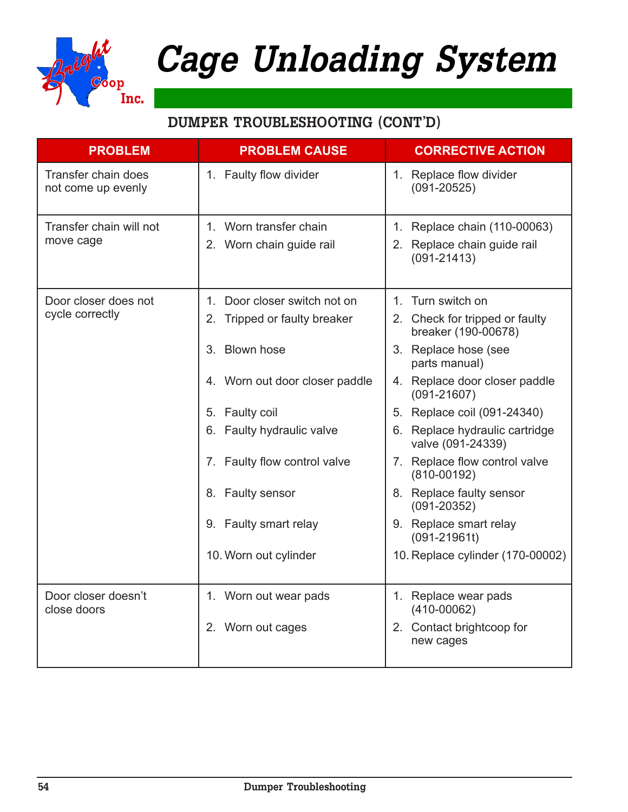

| <b>PROBLEM</b>                            | <b>PROBLEM CAUSE</b>                               | <b>CORRECTIVE ACTION</b>                                                          |
|-------------------------------------------|----------------------------------------------------|-----------------------------------------------------------------------------------|
| Transfer chain does<br>not come up evenly | 1. Faulty flow divider                             | 1. Replace flow divider<br>$(091 - 20525)$                                        |
| Transfer chain will not<br>move cage      | 1. Worn transfer chain<br>2. Worn chain guide rail | Replace chain (110-00063)<br>1.<br>2. Replace chain guide rail<br>$(091 - 21413)$ |
| Door closer does not                      | Door closer switch not on<br>1.                    | 1. Turn switch on                                                                 |
| cycle correctly                           | Tripped or faulty breaker<br>2.                    | 2. Check for tripped or faulty<br>breaker (190-00678)                             |
|                                           | <b>Blown hose</b><br>3 <sub>1</sub>                | 3. Replace hose (see<br>parts manual)                                             |
|                                           | 4. Worn out door closer paddle                     | 4. Replace door closer paddle<br>$(091 - 21607)$                                  |
|                                           | 5. Faulty coil                                     | 5. Replace coil (091-24340)                                                       |
|                                           | 6. Faulty hydraulic valve                          | Replace hydraulic cartridge<br>6.<br>valve (091-24339)                            |
|                                           | 7. Faulty flow control valve                       | 7. Replace flow control valve<br>$(810 - 00192)$                                  |
|                                           | 8. Faulty sensor                                   | 8. Replace faulty sensor<br>$(091 - 20352)$                                       |
|                                           | 9. Faulty smart relay                              | 9. Replace smart relay<br>$(091 - 21961t)$                                        |
|                                           | 10. Worn out cylinder                              | 10. Replace cylinder (170-00002)                                                  |
| Door closer doesn't<br>close doors        | 1. Worn out wear pads                              | 1. Replace wear pads<br>$(410-00062)$                                             |
|                                           | 2. Worn out cages                                  | Contact brightcoop for<br>2.<br>new cages                                         |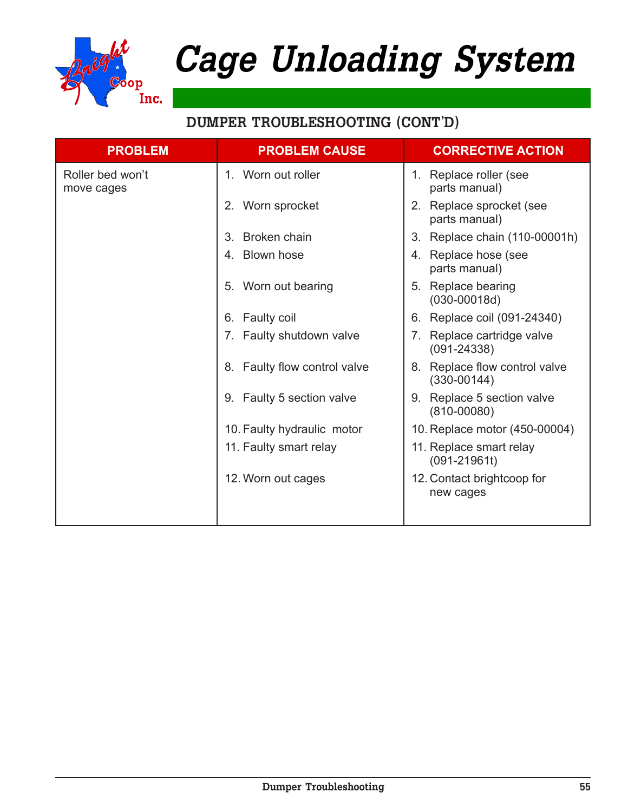

| <b>PROBLEM</b>                 | <b>PROBLEM CAUSE</b>               | <b>CORRECTIVE ACTION</b>                                                     |
|--------------------------------|------------------------------------|------------------------------------------------------------------------------|
| Roller bed won't<br>move cages | 1. Worn out roller                 | Replace roller (see<br>1.<br>parts manual)                                   |
|                                | 2. Worn sprocket                   | Replace sprocket (see<br>2.<br>parts manual)                                 |
|                                | Broken chain<br>3.                 | Replace chain (110-00001h)<br>3.                                             |
|                                | 4. Blown hose                      | Replace hose (see<br>4.<br>parts manual)                                     |
|                                | Worn out bearing<br>5 <sub>1</sub> | Replace bearing<br>5.<br>$(030 - 00018d)$                                    |
|                                | Faulty coil<br>6.                  | Replace coil (091-24340)<br>6.                                               |
|                                | 7. Faulty shutdown valve           | Replace cartridge valve<br>$7_{\scriptscriptstyle{\sim}}$<br>$(091 - 24338)$ |
|                                | 8. Faulty flow control valve       | Replace flow control valve<br>8.<br>$(330 - 00144)$                          |
|                                | 9. Faulty 5 section valve          | Replace 5 section valve<br>9.<br>$(810 - 00080)$                             |
|                                | 10. Faulty hydraulic motor         | 10. Replace motor (450-00004)                                                |
|                                | 11. Faulty smart relay             | 11. Replace smart relay<br>$(091 - 21961t)$                                  |
|                                | 12. Worn out cages                 | 12. Contact brightcoop for<br>new cages                                      |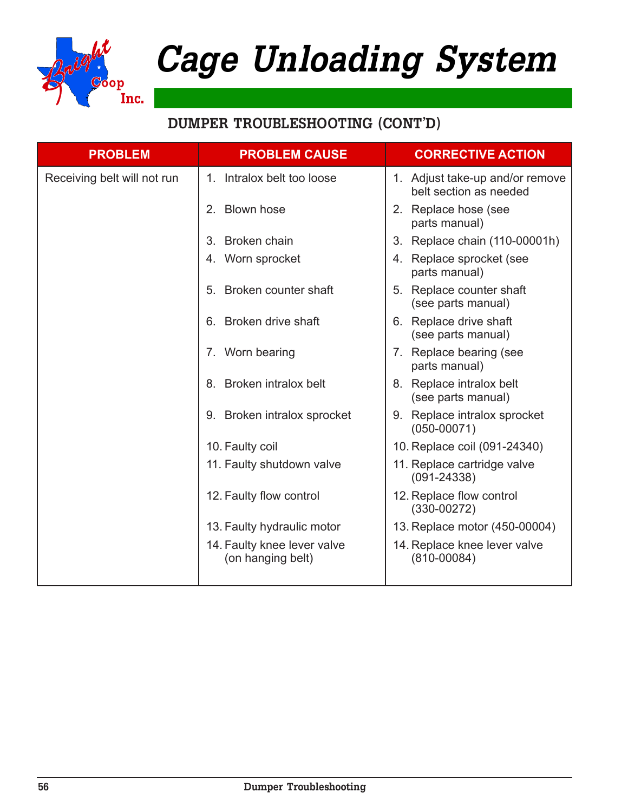

| <b>PROBLEM</b>              | <b>PROBLEM CAUSE</b>                             | <b>CORRECTIVE ACTION</b>                                  |
|-----------------------------|--------------------------------------------------|-----------------------------------------------------------|
| Receiving belt will not run | 1. Intralox belt too loose                       | 1. Adjust take-up and/or remove<br>belt section as needed |
|                             | 2. Blown hose                                    | 2. Replace hose (see<br>parts manual)                     |
|                             | 3. Broken chain                                  | Replace chain (110-00001h)<br>3 <sub>1</sub>              |
|                             | 4. Worn sprocket                                 | 4. Replace sprocket (see<br>parts manual)                 |
|                             | 5. Broken counter shaft                          | 5. Replace counter shaft<br>(see parts manual)            |
|                             | 6. Broken drive shaft                            | 6. Replace drive shaft<br>(see parts manual)              |
|                             | 7. Worn bearing                                  | 7. Replace bearing (see<br>parts manual)                  |
|                             | 8. Broken intralox belt                          | 8. Replace intralox belt<br>(see parts manual)            |
|                             | 9. Broken intralox sprocket                      | 9. Replace intralox sprocket<br>$(050 - 00071)$           |
|                             | 10. Faulty coil                                  | 10. Replace coil (091-24340)                              |
|                             | 11. Faulty shutdown valve                        | 11. Replace cartridge valve<br>$(091 - 24338)$            |
|                             | 12. Faulty flow control                          | 12. Replace flow control<br>$(330 - 00272)$               |
|                             | 13. Faulty hydraulic motor                       | 13. Replace motor (450-00004)                             |
|                             | 14. Faulty knee lever valve<br>(on hanging belt) | 14. Replace knee lever valve<br>$(810 - 00084)$           |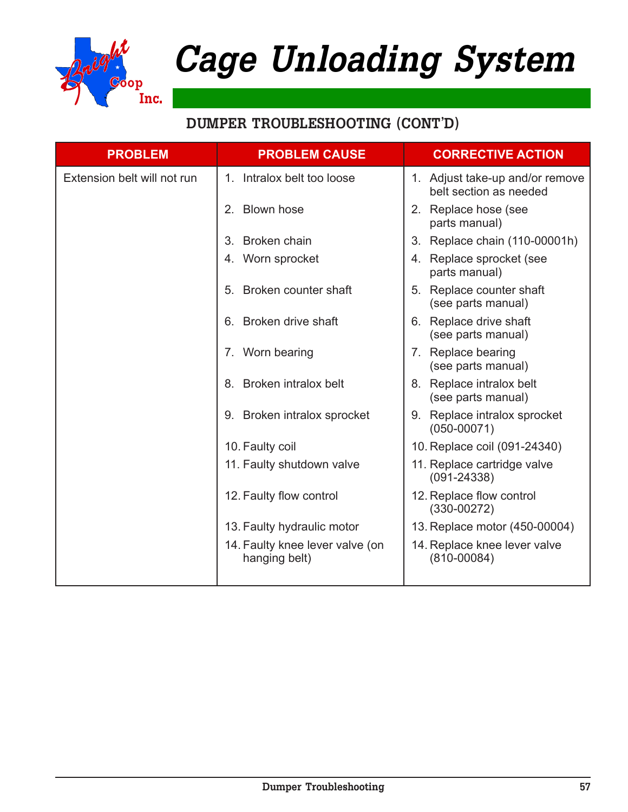

| <b>PROBLEM</b>              | <b>PROBLEM CAUSE</b>                             | <b>CORRECTIVE ACTION</b>                                  |
|-----------------------------|--------------------------------------------------|-----------------------------------------------------------|
| Extension belt will not run | 1. Intralox belt too loose                       | 1. Adjust take-up and/or remove<br>belt section as needed |
|                             | 2. Blown hose                                    | 2. Replace hose (see<br>parts manual)                     |
|                             | 3. Broken chain                                  | 3. Replace chain (110-00001h)                             |
|                             | 4. Worn sprocket                                 | 4. Replace sprocket (see<br>parts manual)                 |
|                             | Broken counter shaft<br>5.                       | 5. Replace counter shaft<br>(see parts manual)            |
|                             | 6. Broken drive shaft                            | 6. Replace drive shaft<br>(see parts manual)              |
|                             | 7. Worn bearing                                  | 7. Replace bearing<br>(see parts manual)                  |
|                             | 8. Broken intralox belt                          | 8. Replace intralox belt<br>(see parts manual)            |
|                             | 9. Broken intralox sprocket                      | 9. Replace intralox sprocket<br>$(050 - 00071)$           |
|                             | 10. Faulty coil                                  | 10. Replace coil (091-24340)                              |
|                             | 11. Faulty shutdown valve                        | 11. Replace cartridge valve<br>$(091 - 24338)$            |
|                             | 12. Faulty flow control                          | 12. Replace flow control<br>$(330-00272)$                 |
|                             | 13. Faulty hydraulic motor                       | 13. Replace motor (450-00004)                             |
|                             | 14. Faulty knee lever valve (on<br>hanging belt) | 14. Replace knee lever valve<br>$(810 - 00084)$           |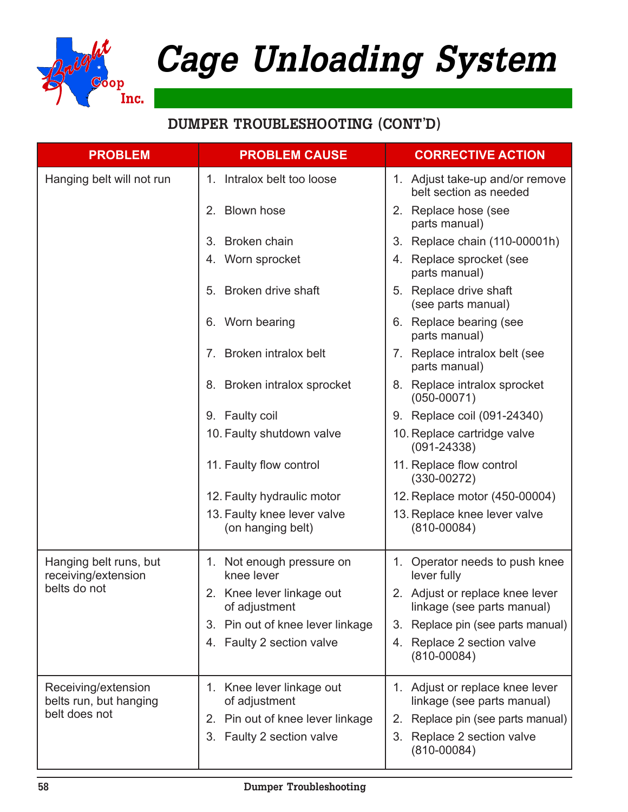

| <b>PROBLEM</b>                                                 | <b>PROBLEM CAUSE</b>                                   | <b>CORRECTIVE ACTION</b>                                         |
|----------------------------------------------------------------|--------------------------------------------------------|------------------------------------------------------------------|
| Hanging belt will not run                                      | 1. Intralox belt too loose                             | 1. Adjust take-up and/or remove<br>belt section as needed        |
|                                                                | 2. Blown hose                                          | 2. Replace hose (see<br>parts manual)                            |
|                                                                | Broken chain<br>3.                                     | 3. Replace chain (110-00001h)                                    |
|                                                                | 4. Worn sprocket                                       | 4. Replace sprocket (see<br>parts manual)                        |
|                                                                | Broken drive shaft<br>5.                               | 5. Replace drive shaft<br>(see parts manual)                     |
|                                                                | 6. Worn bearing                                        | 6. Replace bearing (see<br>parts manual)                         |
|                                                                | Broken intralox belt<br>$7_{\scriptscriptstyle{\sim}}$ | 7. Replace intralox belt (see<br>parts manual)                   |
|                                                                | 8. Broken intralox sprocket                            | 8. Replace intralox sprocket<br>$(050 - 00071)$                  |
|                                                                | 9. Faulty coil                                         | 9. Replace coil (091-24340)                                      |
|                                                                | 10. Faulty shutdown valve                              | 10. Replace cartridge valve<br>$(091 - 24338)$                   |
|                                                                | 11. Faulty flow control                                | 11. Replace flow control<br>$(330-00272)$                        |
|                                                                | 12. Faulty hydraulic motor                             | 12. Replace motor (450-00004)                                    |
|                                                                | 13. Faulty knee lever valve<br>(on hanging belt)       | 13. Replace knee lever valve<br>$(810 - 00084)$                  |
| Hanging belt runs, but<br>receiving/extension                  | 1. Not enough pressure on<br>knee lever                | 1. Operator needs to push knee<br>lever fully                    |
| belts do not                                                   | 2. Knee lever linkage out<br>of adjustment             | 2. Adjust or replace knee lever<br>linkage (see parts manual)    |
|                                                                | Pin out of knee lever linkage<br>3.                    | Replace pin (see parts manual)<br>3.                             |
|                                                                | 4. Faulty 2 section valve                              | 4. Replace 2 section valve<br>$(810 - 00084)$                    |
| Receiving/extension<br>belts run, but hanging<br>belt does not | Knee lever linkage out<br>1.<br>of adjustment          | Adjust or replace knee lever<br>1.<br>linkage (see parts manual) |
|                                                                | Pin out of knee lever linkage<br>2.                    | Replace pin (see parts manual)<br>2.                             |
|                                                                | 3. Faulty 2 section valve                              | Replace 2 section valve<br>3.<br>$(810 - 00084)$                 |